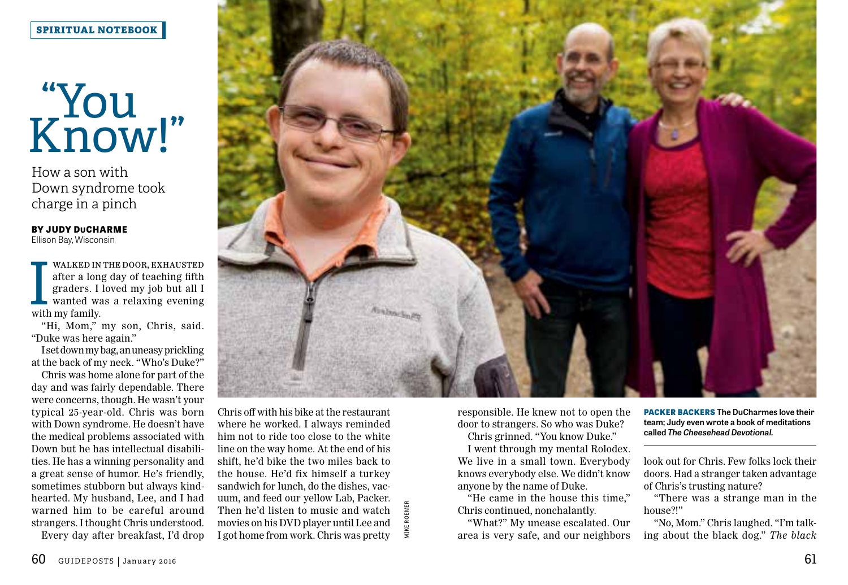## **SPIRITUAL NOTEBOOK**

## "You" Know!"

How a son with Down syndrome took charge in a pinch

**BY JUDY DuCHARME**  Ellison Bay, Wisconsin

WALKED IN<br>
after a lon<br>
graders. I<br>
wanted watch<br>
with my family. walked in the door, exhausted after a long day of teaching fifth graders. I loved my job but all I wanted was a relaxing evening

"Hi, Mom," my son, Chris, said. "Duke was here again."

I set down my bag, an uneasy prickling at the back of my neck. "Who's Duke?"

Chris was home alone for part of the day and was fairly dependable. There were concerns, though. He wasn't your typical 25-year-old. Chris was born with Down syndrome. He doesn't have the medical problems associated with Down but he has intellectual disabilities. He has a winning personality and a great sense of humor. He's friendly, sometimes stubborn but always kindhearted. My husband, Lee, and I had warned him to be careful around strangers. I thought Chris understood. Every day after breakfast, I'd drop



Strangers. I thought Chris understood. Then he'd listen to music and watch the continued, nonchalantly.<br>
Strangers. I thought Chris understood. movies on his DVD player until Lee and the Maximum onchalantly.<br>
Every day aft Chris off with his bike at the restaurant where he worked. I always reminded him not to ride too close to the white line on the way home. At the end of his shift, he'd bike the two miles back to the house. He'd fix himself a turkey sandwich for lunch, do the dishes, vacuum, and feed our yellow Lab, Packer. Then he'd listen to music and watch movies on his DVD player until Lee and I got home from work. Chris was pretty

responsible. He knew not to open the door to strangers. So who was Duke?

Chris grinned. "You know Duke."

I went through my mental Rolodex. We live in a small town. Everybody knows everybody else. We didn't know anyone by the name of Duke.

"He came in the house this time," Chris continued, nonchalantly.

"What?" My unease escalated. Our area is very safe, and our neighbors **PACKER BACKERS The DuCharmes love their team; Judy even wrote a book of meditations called** *The Cheesehead Devotional.*

look out for Chris. Few folks lock their doors. Had a stranger taken advantage of Chris's trusting nature?

"There was a strange man in the house?!"

"No, Mom." Chris laughed. "I'm talking about the black dog." *The black*